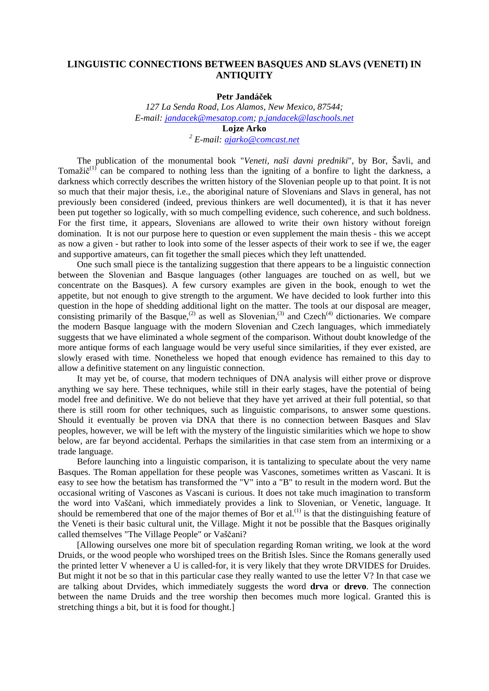# **LINGUISTIC CONNECTIONS BETWEEN BASQUES AND SLAVS (VENETI) IN ANTIQUITY**

### **Petr Jandáček**

*127 La Senda Road, Los Alamos, New Mexico, 87544; E-mail: jandacek@mesatop.com; p.jandacek@laschools.net* **Lojze Arko** *2 E-mail: ajarko@comcast.net*

The publication of the monumental book "*Veneti, naši davni predniki*", by Bor, Šavli, and Tomažič<sup>(1)</sup> can be compared to nothing less than the igniting of a bonfire to light the darkness, a darkness which correctly describes the written history of the Slovenian people up to that point. It is not so much that their major thesis, i.e., the aboriginal nature of Slovenians and Slavs in general, has not previously been considered (indeed, previous thinkers are well documented), it is that it has never been put together so logically, with so much compelling evidence, such coherence, and such boldness. For the first time, it appears, Slovenians are allowed to write their own history without foreign domination. It is not our purpose here to question or even supplement the main thesis - this we accept as now a given - but rather to look into some of the lesser aspects of their work to see if we, the eager and supportive amateurs, can fit together the small pieces which they left unattended.

One such small piece is the tantalizing suggestion that there appears to be a linguistic connection between the Slovenian and Basque languages (other languages are touched on as well, but we concentrate on the Basques). A few cursory examples are given in the book, enough to wet the appetite, but not enough to give strength to the argument. We have decided to look further into this question in the hope of shedding additional light on the matter. The tools at our disposal are meager, consisting primarily of the Basque,<sup>(2)</sup> as well as Slovenian,<sup>(3)</sup> and Czech<sup>(4)</sup> dictionaries. We compare the modern Basque language with the modern Slovenian and Czech languages, which immediately suggests that we have eliminated a whole segment of the comparison. Without doubt knowledge of the more antique forms of each language would be very useful since similarities, if they ever existed, are slowly erased with time. Nonetheless we hoped that enough evidence has remained to this day to allow a definitive statement on any linguistic connection.

It may yet be, of course, that modern techniques of DNA analysis will either prove or disprove anything we say here. These techniques, while still in their early stages, have the potential of being model free and definitive. We do not believe that they have yet arrived at their full potential, so that there is still room for other techniques, such as linguistic comparisons, to answer some questions. Should it eventually be proven via DNA that there is no connection between Basques and Slav peoples, however, we will be left with the mystery of the linguistic similarities which we hope to show below, are far beyond accidental. Perhaps the similarities in that case stem from an intermixing or a trade language.

Before launching into a linguistic comparison, it is tantalizing to speculate about the very name Basques. The Roman appellation for these people was Vascones, sometimes written as Vascani. It is easy to see how the betatism has transformed the "V" into a "B" to result in the modern word. But the occasional writing of Vascones as Vascani is curious. It does not take much imagination to transform the word into Vaščani, which immediately provides a link to Slovenian, or Venetic, language. It should be remembered that one of the major themes of Bor et  $al$ .<sup>(1)</sup> is that the distinguishing feature of the Veneti is their basic cultural unit, the Village. Might it not be possible that the Basques originally called themselves "The Village People" or Vaščani?

[Allowing ourselves one more bit of speculation regarding Roman writing, we look at the word Druids, or the wood people who worshiped trees on the British Isles. Since the Romans generally used the printed letter V whenever a U is called-for, it is very likely that they wrote DRVIDES for Druides. But might it not be so that in this particular case they really wanted to use the letter V? In that case we are talking about Drvides, which immediately suggests the word **drva** or **drevo**. The connection between the name Druids and the tree worship then becomes much more logical. Granted this is stretching things a bit, but it is food for thought.]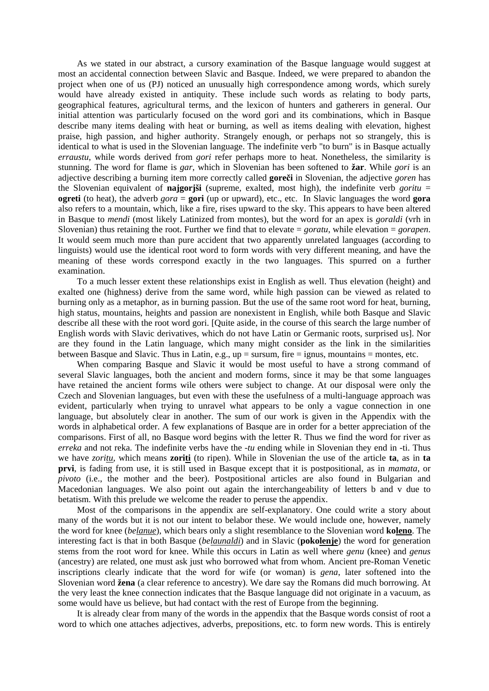As we stated in our abstract, a cursory examination of the Basque language would suggest at most an accidental connection between Slavic and Basque. Indeed, we were prepared to abandon the project when one of us (PJ) noticed an unusually high correspondence among words, which surely would have already existed in antiquity. These include such words as relating to body parts, geographical features, agricultural terms, and the lexicon of hunters and gatherers in general. Our initial attention was particularly focused on the word gori and its combinations, which in Basque describe many items dealing with heat or burning, as well as items dealing with elevation, highest praise, high passion, and higher authority. Strangely enough, or perhaps not so strangely, this is identical to what is used in the Slovenian language. The indefinite verb "to burn" is in Basque actually *erraustu*, while words derived from *gori* refer perhaps more to heat. Nonetheless, the similarity is stunning. The word for flame is *gar*, which in Slovenian has been softened to **žar**. While *gori* is an adjective describing a burning item more correctly called **goreči** in Slovenian, the adjective *goren* has the Slovenian equivalent of **najgorjši** (supreme, exalted, most high), the indefinite verb *goritu* = **ogreti** (to heat), the adverb *gora* = **gori** (up or upward), etc., etc. In Slavic languages the word **gora** also refers to a mountain, which, like a fire, rises upward to the sky. This appears to have been altered in Basque to *mendi* (most likely Latinized from montes), but the word for an apex is *goraldi* (vrh in Slovenian) thus retaining the root. Further we find that to elevate = *goratu*, while elevation = *gorapen*. It would seem much more than pure accident that two apparently unrelated languages (according to linguists) would use the identical root word to form words with very different meaning, and have the meaning of these words correspond exactly in the two languages. This spurred on a further examination.

To a much lesser extent these relationships exist in English as well. Thus elevation (height) and exalted one (highness) derive from the same word, while high passion can be viewed as related to burning only as a metaphor, as in burning passion. But the use of the same root word for heat, burning, high status, mountains, heights and passion are nonexistent in English, while both Basque and Slavic describe all these with the root word gori. [Quite aside, in the course of this search the large number of English words with Slavic derivatives, which do not have Latin or Germanic roots, surprised us]. Nor are they found in the Latin language, which many might consider as the link in the similarities between Basque and Slavic. Thus in Latin, e.g.,  $up =$  sursum, fire  $=$  ignus, mountains  $=$  montes, etc.

When comparing Basque and Slavic it would be most useful to have a strong command of several Slavic languages, both the ancient and modern forms, since it may be that some languages have retained the ancient forms wile others were subject to change. At our disposal were only the Czech and Slovenian languages, but even with these the usefulness of a multi-language approach was evident, particularly when trying to unravel what appears to be only a vague connection in one language, but absolutely clear in another. The sum of our work is given in the Appendix with the words in alphabetical order. A few explanations of Basque are in order for a better appreciation of the comparisons. First of all, no Basque word begins with the letter R. Thus we find the word for river as *erreka* and not reka. The indefinite verbs have the -*tu* ending while in Slovenian they end in -ti. Thus we have *zoritu*, which means **zoriti** (to ripen). While in Slovenian the use of the article **ta**, as in **ta prvi**, is fading from use, it is still used in Basque except that it is postpositional, as in *mamata*, or *pivoto* (i.e., the mother and the beer). Postpositional articles are also found in Bulgarian and Macedonian languages. We also point out again the interchangeability of letters b and v due to betatism. With this prelude we welcome the reader to peruse the appendix.

Most of the comparisons in the appendix are self-explanatory. One could write a story about many of the words but it is not our intent to belabor these. We would include one, however, namely the word for knee (*belanue*), which bears only a slight resemblance to the Slovenian word **koleno**. The interesting fact is that in both Basque (*belaunaldi*) and in Slavic (**pokolenje**) the word for generation stems from the root word for knee. While this occurs in Latin as well where *genu* (knee) and *genus* (ancestry) are related, one must ask just who borrowed what from whom. Ancient pre-Roman Venetic inscriptions clearly indicate that the word for wife (or woman) is *gena*, later softened into the Slovenian word **žena** (a clear reference to ancestry). We dare say the Romans did much borrowing. At the very least the knee connection indicates that the Basque language did not originate in a vacuum, as some would have us believe, but had contact with the rest of Europe from the beginning.

It is already clear from many of the words in the appendix that the Basque words consist of root a word to which one attaches adjectives, adverbs, prepositions, etc. to form new words. This is entirely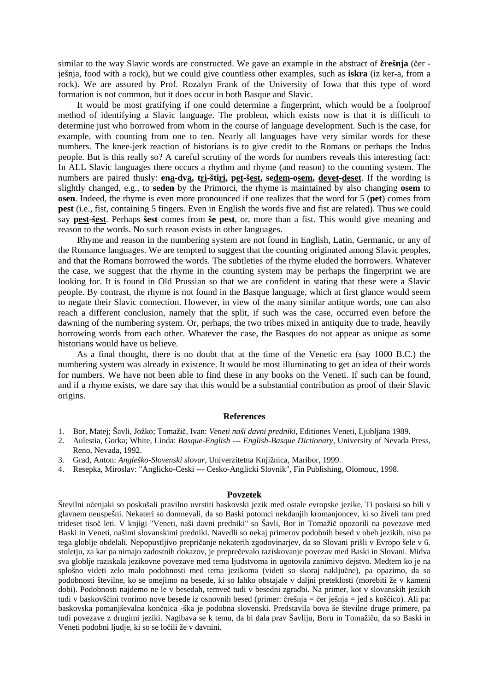similar to the way Slavic words are constructed. We gave an example in the abstract of **črešnja** (čer ješnja, food with a rock), but we could give countless other examples, such as **iskra** (iz ker-a, from a rock). We are assured by Prof. Rozalyn Frank of the University of Iowa that this type of word formation is not common, but it does occur in both Basque and Slavic.

It would be most gratifying if one could determine a fingerprint, which would be a foolproof method of identifying a Slavic language. The problem, which exists now is that it is difficult to determine just who borrowed from whom in the course of language development. Such is the case, for example, with counting from one to ten. Nearly all languages have very similar words for these numbers. The knee-jerk reaction of historians is to give credit to the Romans or perhaps the Indus people. But is this really so? A careful scrutiny of the words for numbers reveals this interesting fact: In ALL Slavic languages there occurs a rhythm and rhyme (and reason) to the counting system. The numbers are paired thusly: **ena-dva, tri-štiri, pet-šest, sedem-osem, devet-deset**. If the wording is slightly changed, e.g., to **seden** by the Primorci, the rhyme is maintained by also changing **osem** to **osen**. Indeed, the rhyme is even more pronounced if one realizes that the word for 5 (**pet**) comes from **pest** (i.e., fist, containing 5 fingers. Even in English the words five and fist are related). Thus we could say **pest-šest**. Perhaps **šest** comes from **še pest**, or, more than a fist. This would give meaning and reason to the words. No such reason exists in other languages.

Rhyme and reason in the numbering system are not found in English, Latin, Germanic, or any of the Romance languages. We are tempted to suggest that the counting originated among Slavic peoples, and that the Romans borrowed the words. The subtleties of the rhyme eluded the borrowers. Whatever the case, we suggest that the rhyme in the counting system may be perhaps the fingerprint we are looking for. It is found in Old Prussian so that we are confident in stating that these were a Slavic people. By contrast, the rhyme is not found in the Basque language, which at first glance would seem to negate their Slavic connection. However, in view of the many similar antique words, one can also reach a different conclusion, namely that the split, if such was the case, occurred even before the dawning of the numbering system. Or, perhaps, the two tribes mixed in antiquity due to trade, heavily borrowing words from each other. Whatever the case, the Basques do not appear as unique as some historians would have us believe.

As a final thought, there is no doubt that at the time of the Venetic era (say 1000 B.C.) the numbering system was already in existence. It would be most illuminating to get an idea of their words for numbers. We have not been able to find these in any books on the Veneti. If such can be found, and if a rhyme exists, we dare say that this would be a substantial contribution as proof of their Slavic origins.

### **References**

- 1. Bor, Matej; Šavli, Jožko; Tomažič, Ivan: *Veneti naši davni predniki*, Editiones Veneti, Ljubljana 1989.
- 2. Aulestia, Gorka; White, Linda: *Basque-English --- English-Basque Dictionary*, University of Nevada Press, Reno, Nevada, 1992.
- 3. Grad, Anton: *Angleško-Slovenski slovar*, Univerzitetna Knjižnica, Maribor, 1999.
- 4. Resepka, Miroslav: "Anglicko-Ceski --- Cesko-Anglicki Slovnik", Fin Publishing, Olomouc, 1998.

#### **Povzetek**

Številni učenjaki so poskušali pravilno uvrstiti baskovski jezik med ostale evropske jezike. Ti poskusi so bili v glavnem neuspešni. Nekateri so domnevali, da so Baski potomci nekdanjih kromanjoncev, ki so živeli tam pred trideset tisoč leti. V knjigi "Veneti, naši davni predniki" so Šavli, Bor in Tomažič opozorili na povezave med Baski in Veneti, našimi slovanskimi predniki. Navedli so nekaj primerov podobnih besed v obeh jezikih, niso pa tega globlje obdelali. Nepopustljivo prepričanje nekaterih zgodovinarjev, da so Slovani prišli v Evropo šele v 6. stoletju, za kar pa nimajo zadostnih dokazov, je preprečevalo raziskovanje povezav med Baski in Slovani. Midva sva globlje raziskala jezikovne povezave med tema ljudstvoma in ugotovila zanimivo dejstvo. Medtem ko je na splošno videti zelo malo podobnosti med tema jezikoma (videti so skoraj naključne), pa opazimo, da so podobnosti številne, ko se omejimo na besede, ki so lahko obstajale v daljni preteklosti (morebiti že v kameni dobi). Podobnosti najdemo ne le v besedah, temveč tudi v besedni zgradbi. Na primer, kot v slovanskih jezikih tudi v baskovščini tvorimo nove besede iz osnovnih besed (primer: črešnja = čer ješnja = jed s koščico). Ali pa: baskovska pomanjševalna končnica -ška je podobna slovenski. Predstavila bova še številne druge primere, pa tudi povezave z drugimi jeziki. Nagibava se k temu, da bi dala prav Šavliju, Boru in Tomažiču, da so Baski in Veneti podobni ljudje, ki so se ločili že v davnini.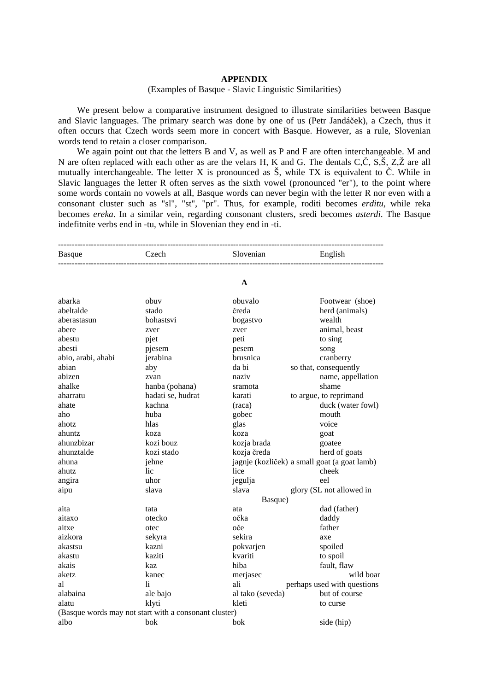## **APPENDIX**

## (Examples of Basque - Slavic Linguistic Similarities)

We present below a comparative instrument designed to illustrate similarities between Basque and Slavic languages. The primary search was done by one of us (Petr Jandáček), a Czech, thus it often occurs that Czech words seem more in concert with Basque. However, as a rule, Slovenian words tend to retain a closer comparison.

We again point out that the letters B and V, as well as P and F are often interchangeable. M and N are often replaced with each other as are the velars H, K and G. The dentals C,Č, S,Š, Z,Ž are all mutually interchangeable. The letter X is pronounced as Š, while TX is equivalent to Č. While in Slavic languages the letter R often serves as the sixth vowel (pronounced "er"), to the point where some words contain no vowels at all, Basque words can never begin with the letter R nor even with a consonant cluster such as "sl", "st", "pr". Thus, for example, roditi becomes *erditu*, while reka becomes *ereka*. In a similar vein, regarding consonant clusters, sredi becomes *asterdi*. The Basque indefitnite verbs end in -tu, while in Slovenian they end in -ti.

| <b>Basque</b>      | Czech                                                 | Slovenian        | English                                      |
|--------------------|-------------------------------------------------------|------------------|----------------------------------------------|
|                    |                                                       | A                |                                              |
| abarka             | obuv                                                  | obuvalo          | Footwear (shoe)                              |
| abeltalde          | stado                                                 | čreda            | herd (animals)                               |
| aberastasun        | bohastsvi                                             | bogastvo         | wealth                                       |
| abere              | zver                                                  | zver             | animal, beast                                |
| abestu             | pjet                                                  | peti             | to sing                                      |
| abesti             | pjesem                                                | pesem            | song                                         |
| abio, arabi, ahabi | jerabina                                              | brusnica         | cranberry                                    |
| abian              | aby                                                   | da bi            | so that, consequently                        |
| abizen             | zvan                                                  | naziv            | name, appellation                            |
| ahalke             | hanba (pohana)                                        | sramota          | shame                                        |
| aharratu           | hadati se, hudrat                                     | karati           | to argue, to reprimand                       |
| ahate              | kachna                                                | (raca)           | duck (water fowl)                            |
| aho                | huba                                                  | gobec            | mouth                                        |
| ahotz              | hlas                                                  | glas             | voice                                        |
| ahuntz             | koza                                                  | koza             | goat                                         |
| ahunzbizar         | kozi bouz                                             | kozja brada      | goatee                                       |
| ahunztalde         | kozi stado                                            | kozja čreda      | herd of goats                                |
| ahuna              | jehne                                                 |                  | jagnje (kozliček) a small goat (a goat lamb) |
| ahutz              | lic                                                   | lice             | cheek                                        |
| angira             | uhor                                                  | jegulja          | eel                                          |
| aipu               | slava                                                 | slava            | glory (SL not allowed in                     |
|                    |                                                       | Basque)          |                                              |
| aita               | tata                                                  | ata              | dad (father)                                 |
| aitaxo             | otecko                                                | očka             | daddy                                        |
| aitxe              | otec                                                  | oče              | father                                       |
| aizkora            | sekyra                                                | sekira           | axe                                          |
| akastsu            | kazni                                                 | pokvarjen        | spoiled                                      |
| akastu             | kaziti                                                | kvariti          | to spoil                                     |
| akais              | kaz                                                   | hiba             | fault, flaw                                  |
| aketz              | kanec                                                 | merjasec         | wild boar                                    |
| al                 | li.                                                   | ali              | perhaps used with questions                  |
| alabaina           | ale bajo                                              | al tako (seveda) | but of course                                |
| alatu              | klyti                                                 | kleti            | to curse                                     |
|                    | (Basque words may not start with a consonant cluster) |                  |                                              |
| albo               | bok                                                   | bok              | side (hip)                                   |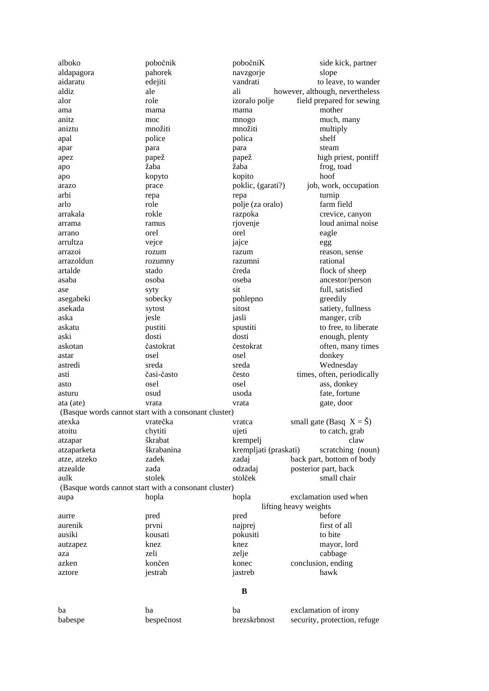| alboko       | pobočnik                                             | pobočniK              | side kick, partner                 |
|--------------|------------------------------------------------------|-----------------------|------------------------------------|
| aldapagora   | pahorek                                              | navzgorje             | slope                              |
| aidaratu     | edejiti                                              | vandrati              | to leave, to wander                |
| aldiz        | ale                                                  | ali                   | however, although, nevertheless    |
| alor         | role                                                 | izoralo polje         | field prepared for sewing          |
| ama          | mama                                                 | mama                  | mother                             |
| anitz        | moc                                                  | mnogo                 | much, many                         |
| aniztu       | množiti                                              | množiti               | multiply                           |
| apal         | police                                               | polica                | shelf                              |
|              | para                                                 |                       | steam                              |
| apar         | papež                                                | para<br>papež         | high priest, pontiff               |
| apez         | žaba                                                 | žaba                  |                                    |
| apo          |                                                      | kopito                | frog, toad<br>hoof                 |
| apo          | kopyto                                               |                       |                                    |
| arazo        | prace                                                | poklic, (garati?)     | job, work, occupation              |
| arbi         | repa                                                 | repa                  | turnip                             |
| arlo         | role                                                 | polje (za oralo)      | farm field                         |
| arrakala     | rokle                                                | razpoka               | crevice, canyon                    |
| arrama       | ramus                                                | rjovenje              | loud animal noise                  |
| arrano       | orel                                                 | orel                  | eagle                              |
| arrultza     | vejce                                                | jajce                 | egg                                |
| arrazoi      | rozum                                                | razum                 | reason, sense                      |
| arrazoldun   | rozumny                                              | razumni               | rational                           |
| artalde      | stado                                                | čreda                 | flock of sheep                     |
| asaba        | osoba                                                | oseba                 | ancestor/person                    |
| ase          | syty                                                 | sit                   | full, satisfied                    |
| asegabeki    | sobecky                                              | pohlepno              | greedily                           |
| asekada      | sytost                                               | sitost                | satiety, fullness                  |
| aska         | jesle                                                | jasli                 | manger, crib                       |
| askatu       | pustiti                                              | spustiti              | to free, to liberate               |
| aski         | dosti                                                | dosti                 | enough, plenty                     |
| askotan      | častokrat                                            | čestokrat             | often, many times                  |
| astar        | osel                                                 | osel                  | donkey                             |
| astredi      | sreda                                                | sreda                 | Wednesday                          |
| asti         | časi-často                                           | često                 | times, often, periodically         |
| asto         | osel                                                 | osel                  | ass, donkey                        |
| asturu       | osud                                                 | usoda                 | fate, fortune                      |
| ata (ate)    | vrata                                                | vrata                 | gate, door                         |
|              | (Basque words cannot start with a consonant cluster) |                       |                                    |
| atexka       | vratečka                                             | vratca                | small gate (Basq $X = \check{S}$ ) |
| atoitu       | chytiti                                              | ujeti                 | to catch, grab                     |
| atzapar      | škrabat                                              | krempelj              | claw                               |
| atzaparketa  | škrabanina                                           | krempljati (praskati) | scratching (noun)                  |
| atze, atzeko | zadek                                                | zadaj                 | back part, bottom of body          |
| atzealde     | zada                                                 | odzadaj               | posterior part, back               |
| aulk         | stolek                                               | stolček               | small chair                        |
|              |                                                      |                       |                                    |
|              | (Basque words cannot start with a consonant cluster) |                       |                                    |
| aupa         | hopla                                                | hopla                 | exclamation used when              |
|              |                                                      |                       | lifting heavy weights              |
| aurre        | pred                                                 | pred                  | before                             |
| aurenik      | prvni                                                | najprej               | first of all                       |
| ausiki       | kousati                                              | pokusiti              | to bite                            |
| autzapez     | knez                                                 | knez                  | mayor, lord                        |
| aza          | zeli                                                 | zelje                 | cabbage                            |
| azken        | končen                                               | konec                 | conclusion, ending                 |
| aztore       | jestrab                                              | jastreb               | hawk                               |
|              |                                                      |                       |                                    |
|              |                                                      | B                     |                                    |
| ba           | ba                                                   | ba                    | exclamation of irony               |
| babespe      | bespečnost                                           | brezskrbnost          | security, protection, refuge       |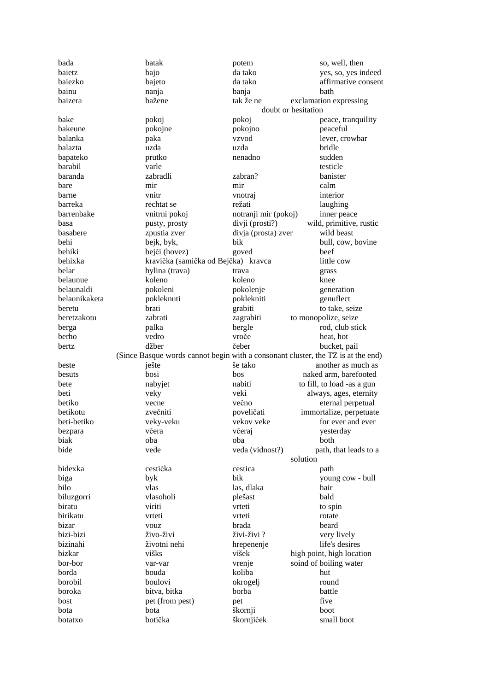| bada          | batak                                                                            | potem                | so, well, then             |
|---------------|----------------------------------------------------------------------------------|----------------------|----------------------------|
| baietz        | bajo                                                                             | da tako              | yes, so, yes indeed        |
| baiezko       | bajeto                                                                           | da tako              | affirmative consent        |
| bainu         | nanja                                                                            | banja                | bath                       |
| baizera       | bažene                                                                           | tak že ne            | exclamation expressing     |
|               |                                                                                  | doubt or hesitation  |                            |
| bake          | pokoj                                                                            | pokoj                | peace, tranquility         |
| bakeune       | pokojne                                                                          | pokojno              | peaceful                   |
| balanka       | paka                                                                             | vzvod                | lever, crowbar             |
| balazta       | uzda                                                                             | uzda                 | bridle                     |
| bapateko      | prutko                                                                           | nenadno              | sudden                     |
| barabil       | varle                                                                            |                      | testicle                   |
| baranda       | zabradli                                                                         | zabran?              | banister                   |
| bare          | mir                                                                              | mir                  | calm                       |
| barne         | vnitr                                                                            | vnotraj              | interior                   |
| barreka       | rechtat se                                                                       | režati               | laughing                   |
| barrenbake    | vnitrni pokoj                                                                    | notranji mir (pokoj) | inner peace                |
| basa          | pusty, prosty                                                                    | divji (prosti?)      | wild, primitive, rustic    |
| basabere      | zpustia zver                                                                     | divja (prosta) zver  | wild beast                 |
| behi          | bejk, byk,                                                                       | bik                  | bull, cow, bovine          |
| behiki        | bejči (hovez)                                                                    | goved                | beef                       |
| behixka       | kravička (samička od Bejčka) kravca                                              |                      | little cow                 |
| belar         | bylina (trava)                                                                   | trava                | grass                      |
| belaunue      | koleno                                                                           | koleno               | knee                       |
| belaunaldi    | pokoleni                                                                         | pokolenje            | generation                 |
| belaunikaketa | pokleknuti                                                                       | poklekniti           | genuflect                  |
| beretu        | brati                                                                            | grabiti              | to take, seize             |
| beretzakotu   | zabrati                                                                          | zagrabiti            | to monopolize, seize       |
| berga         | palka                                                                            | bergle               | rod, club stick            |
| berho         | vedro                                                                            | vroče                | heat, hot                  |
| bertz         | džber                                                                            | čeber                | bucket, pail               |
|               | (Since Basque words cannot begin with a consonant cluster, the TZ is at the end) |                      |                            |
| beste         | ješte                                                                            | še tako              | another as much as         |
| besuts        | bosi                                                                             | bos                  | naked arm, barefooted      |
| bete          | nabyjet                                                                          | nabiti               | to fill, to load -as a gun |
| beti          | veky                                                                             | veki                 | always, ages, eternity     |
| betiko        | vecne                                                                            | večno                | eternal perpetual          |
| betikotu      | zvečniti                                                                         | poveličati           | immortalize, perpetuate    |
| beti-betiko   | veky-veku                                                                        | vekov veke           | for ever and ever          |
| bezpara       | včera                                                                            | včeraj               | yesterday                  |
| biak          | oba                                                                              | oba                  | both                       |
| bide          | vede                                                                             | veda (vidnost?)      | path, that leads to a      |
|               |                                                                                  | solution             |                            |
| bidexka       | cestička                                                                         | cestica              | path                       |
| biga          | byk                                                                              | bik                  | young cow - bull           |
| bilo          | vlas                                                                             | las, dlaka           | hair                       |
| biluzgorri    | vlasoholi                                                                        | plešast              | bald                       |
| biratu        | viriti                                                                           | vrteti               | to spin                    |
| birikatu      | vrteti                                                                           | vrteti               | rotate                     |
| bizar         | vouz                                                                             | brada                | beard                      |
| bizi-bizi     | živo-živi                                                                        | živi-živi?           | very lively                |
| bizinahi      | životni nehi                                                                     | hrepenenje           | life's desires             |
| bizkar        | višks                                                                            | višek                | high point, high location  |
| bor-bor       | var-var                                                                          | vrenje               | soind of boiling water     |
| borda         | bouda                                                                            | koliba               | hut                        |
| borobil       | boulovi                                                                          | okrogelj             | round                      |
| boroka        | bitva, bitka                                                                     | borba                | battle                     |
| bost          | pet (from pest)                                                                  | pet                  | five                       |
| bota          | bota                                                                             | škornji              | boot                       |
| botatxo       | botička                                                                          | škornjiček           | small boot                 |
|               |                                                                                  |                      |                            |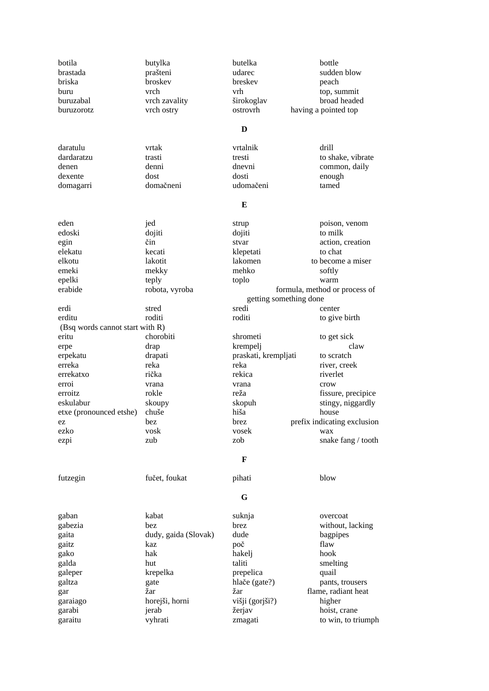| botila                          | butylka              | butelka                | bottle                        |
|---------------------------------|----------------------|------------------------|-------------------------------|
| brastada                        | prašteni             | udarec                 | sudden blow                   |
| briska                          | broskev              | breskev                | peach                         |
| buru                            | vrch                 | vrh                    | top, summit                   |
| buruzabal                       | vrch zavality        | širokoglav             | broad headed                  |
| buruzorotz                      | vrch ostry           | ostrovrh               | having a pointed top          |
|                                 |                      |                        |                               |
|                                 |                      | D                      |                               |
| daratulu                        | vrtak                | vrtalnik               | drill                         |
| dardaratzu                      | trasti               | tresti                 | to shake, vibrate             |
| denen                           | denni                | dnevni                 | common, daily                 |
| dexente                         | dost                 | dosti                  | enough                        |
| domagarri                       | domačneni            | udomačeni              | tamed                         |
|                                 |                      |                        |                               |
|                                 |                      | E                      |                               |
| eden                            | jed                  | strup                  | poison, venom                 |
| edoski                          | dojiti               | dojiti                 | to milk                       |
| egin                            | čin                  | stvar                  | action, creation              |
| elekatu                         | kecati               | klepetati              | to chat                       |
| elkotu                          | lakotit              | lakomen                | to become a miser             |
| emeki                           | mekky                | mehko                  | softly                        |
| epelki                          | teply                | toplo                  | warm                          |
| erabide                         | robota, vyroba       |                        | formula, method or process of |
|                                 |                      | getting something done |                               |
| erdi                            | stred                | sredi                  | center                        |
| erditu                          | roditi               | roditi                 | to give birth                 |
| (Bsq words cannot start with R) |                      |                        |                               |
| eritu                           | chorobiti            | shrometi               | to get sick                   |
|                                 |                      | krempelj               | claw                          |
| erpe                            | drap                 |                        | to scratch                    |
| erpekatu                        | drapati              | praskati, krempljati   |                               |
| erreka                          | reka                 | reka                   | river, creek                  |
| errekatxo                       | rička                | rekica                 | riverlet                      |
| erroi                           | vrana                | vrana                  | crow                          |
| erroitz                         | rokle                | reža                   | fissure, precipice            |
| eskulabur                       | skoupy               | skopuh                 | stingy, niggardly             |
| etxe (pronounced etshe)         | chuše                | hiša                   | house                         |
| ez                              | bez                  | <b>brez</b>            | prefix indicating exclusion   |
| ezko                            | vosk                 | vosek                  | wax                           |
| ezpi                            | zub                  | zob                    | snake fang / tooth            |
|                                 |                      | F                      |                               |
| futzegin                        | fučet, foukat        | pihati                 | blow                          |
|                                 |                      |                        |                               |
|                                 |                      | G                      |                               |
| gaban                           | kabat                | suknja                 | overcoat                      |
| gabezia                         | bez                  | brez                   | without, lacking              |
| gaita                           | dudy, gaida (Slovak) | dude                   | bagpipes                      |
| gaitz                           | kaz                  | poč                    | flaw                          |
| gako                            | hak                  | hakelj                 | hook                          |
| galda                           | hut                  | taliti                 | smelting                      |
| galeper                         | krepelka             | prepelica              | quail                         |
| galtza                          | gate                 | hlače (gate?)          | pants, trousers               |
| gar                             | žar                  | žar                    | flame, radiant heat           |
| garaiago                        | horejši, horni       | višji (gorjši?)        | higher                        |
| garabi                          | jerab                | žerjav                 | hoist, crane                  |
| garaitu                         | vyhrati              | zmagati                | to win, to triumph            |
|                                 |                      |                        |                               |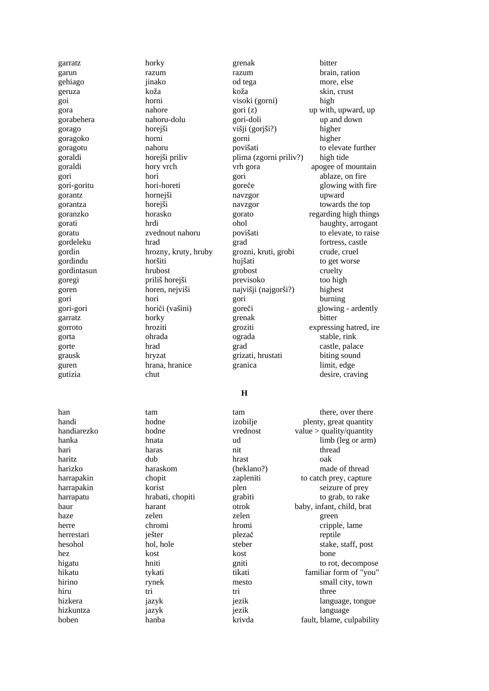gutizia chut chut desire, craving

garratz horky grenak bitter garun razum razum brain, ration gehiago jinako od tega more, else geruza koža koža skin, crust goi horni visoki (gorni) high gora nahore gori (z) up with, upward, up gorabehera nahoru-dolu gori-doli up and down gorago horejši višji (gorjši?) higher goragoko horni gorni higher goragotu nahoru povišati to elevate further goraldi horejši priliv plima (zgorni priliv?) high tide goraldi hory vrch vrh gora apogee of mountain gori hori gori ablaze, on fire gori-goritu hori-horeti goreče glowing with fire gorantz hornejši navzgor upward gorantza horejši navzgor towards the top gordeleku hrad hrad grad fortress, castle gordin hrozny, kruty, hruby grozni, kruti, grobi crude, cruel<br>gordindu horšiti hujšati to get worse gordindu horšiti hujšati to get worse gordintasun hrubost grobost cruelty goregi priliš horejši previsoko too high goren horen, nejviši najvišji (najgorši?) highest gori hori gori burning garratz horky grenak bitter gorta ohrada ograda stable, rink gorte hrad hrad grad castle, palace grausk hryzat grizati, hrustati biting sound guren hrana, hranice granica limit, edge

goranzko horasko gorato regarding high things gorati hrdi ohol haughty, arrogant goratu zvednout nahoru povišati to elevate, to raise gori-gori horiči (vašini) goreči glowing - ardently gorroto hroziti groziti expressing hatred, ire

# **H**

hari haras haras nit thread haritz dub hrast oak harizko haraskom (heklano?) made of thread harrapakin korist plen seizure of prey harrapatu hrabati, chopiti grabiti to grab, to rake haze zelen zelen zelen green herre chromi hromi hromi cripple, lame herrestari **ješter** plezač reptile hez kost kost bone hiru tri tri three hizkuntza jazyk jezik language

han tam tam tam tam there, over there handi hodne izobilje plenty, great quantity handiarezko hodne vrednost value > quality/quantity hanka hanka hnata hnata ud limb (leg or arm) harrapakin chopit zapleniti to catch prey, capture haur harant otrok baby, infant, child, brat hesohol hol, hole steber stake, staff, post higatu hniti gniti gniti to rot, decompose hikatu tykati tikati familiar form of "you" hirino rynek mesto small city, town hizkera **jazyk** jazyk jezik language, tongue hoben hanba krivda fault, blame, culpability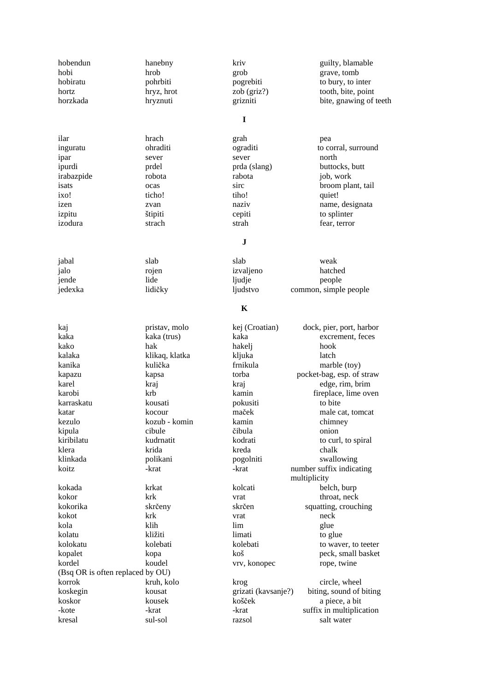| hobendun                         | hanebny        | kriv                | guilty, blamable          |
|----------------------------------|----------------|---------------------|---------------------------|
| hobi                             | hrob           | grob                | grave, tomb               |
| hobiratu                         | pohrbiti       | pogrebiti           | to bury, to inter         |
| hortz                            | hryz, hrot     | zob (griz?)         | tooth, bite, point        |
| horzkada                         | hryznuti       | grizniti            | bite, gnawing of teeth    |
|                                  |                |                     |                           |
|                                  |                | I                   |                           |
| ilar                             | hrach          | grah                | pea                       |
| inguratu                         | ohraditi       | ograditi            | to corral, surround       |
| ipar                             | sever          | sever               | north                     |
| ipurdi                           | prdel          | prda (slang)        | buttocks, butt            |
| irabazpide                       | robota         | rabota              | job, work                 |
| isats                            | ocas           | sirc                | broom plant, tail         |
| ixo!                             | ticho!         | tiho!               | quiet!                    |
| izen                             | zvan           | naziv               | name, designata           |
| izpitu                           | štipiti        | cepiti              | to splinter               |
| izodura                          | strach         | strah               | fear, terror              |
|                                  |                |                     |                           |
|                                  |                | J                   |                           |
| jabal                            | slab           | slab                | weak                      |
| jalo                             | rojen          | izvaljeno           | hatched                   |
| jende                            | lide           | ljudje              | people                    |
| jedexka                          | lidičky        | ljudstvo            | common, simple people     |
|                                  |                | K                   |                           |
| kaj                              | pristav, molo  | kej (Croatian)      | dock, pier, port, harbor  |
| kaka                             | kaka (trus)    | kaka                | excrement, feces          |
| kako                             | hak            | hakelj              | hook                      |
| kalaka                           | klikaq, klatka | kljuka              | latch                     |
| kanika                           | kulička        | frnikula            | marble (toy)              |
| kapazu                           | kapsa          | torba               | pocket-bag, esp. of straw |
| karel                            | kraj           | kraj                | edge, rim, brim           |
| karobi                           | krb            | kamin               | fireplace, lime oven      |
| karraskatu                       | kousati        | pokusiti            | to bite                   |
| katar                            | kocour         | maček               | male cat, tomcat          |
| kezulo                           | kozub - komin  | kamin               | chimney                   |
| kipula                           | cibule         | čibula              | onion                     |
| kiribilatu                       | kudrnatit      | kodrati             | to curl, to spiral        |
| klera                            | krida          | kreda               | chalk                     |
| klinkada                         | polikani       | pogolniti           | swallowing                |
| koitz                            | -krat          | -krat               | number suffix indicating  |
|                                  |                |                     | multiplicity              |
| kokada                           | krkat          | kolcati             | belch, burp               |
| kokor                            | krk            | vrat                | throat, neck              |
| kokorika                         | skrčeny        | skrčen              | squatting, crouching      |
| kokot                            | krk            | vrat                | neck                      |
| kola                             | klih           | lim                 | glue                      |
| kolatu                           | kližiti        | limati              | to glue                   |
| kolokatu                         | kolebati       | kolebati            | to waver, to teeter       |
| kopalet                          | kopa           | koš                 | peck, small basket        |
| kordel                           | koudel         | vrv, konopec        | rope, twine               |
| (Bsq OR is often replaced by OU) |                |                     |                           |
| korrok                           | kruh, kolo     | krog                | circle, wheel             |
| koskegin                         | kousat         | grizati (kavsanje?) | biting, sound of biting   |
| koskor                           | kousek         | košček              | a piece, a bit            |
| -kote                            | -krat          | -krat               | suffix in multiplication  |
| kresal                           | sul-sol        | razsol              | salt water                |
|                                  |                |                     |                           |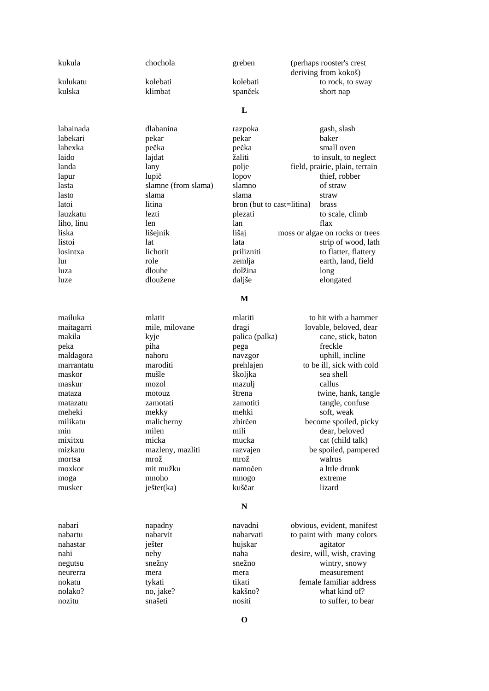| kulukatu   | kolebati            | kolebati                  | to rock, to sway                |
|------------|---------------------|---------------------------|---------------------------------|
| kulska     | klimbat             | spanček                   | short nap                       |
|            |                     |                           |                                 |
|            |                     | L                         |                                 |
|            |                     |                           |                                 |
| labainada  | dlabanina           | razpoka                   | gash, slash                     |
| labekari   | pekar               | pekar                     | baker                           |
| labexka    | pečka               | pečka                     | small oven                      |
| laido      | lajdat              | žaliti                    | to insult, to neglect           |
| landa      | lany                | polje                     | field, prairie, plain, terrain  |
| lapur      | lupič               | lopov                     | thief, robber                   |
| lasta      | slamne (from slama) | slamno                    | of straw                        |
| lasto      | slama               | slama                     | straw                           |
| latoi      | litina              | bron (but to cast=litina) | brass                           |
| lauzkatu   | lezti               | plezati                   | to scale, climb                 |
| liho, linu | len                 | lan                       | flax                            |
| liska      | lišejnik            | lišaj                     | moss or algae on rocks or trees |
| listoi     | lat                 | lata                      | strip of wood, lath             |
| losintxa   | lichotit            | prilizniti                | to flatter, flattery            |
| lur        | role                | zemlja                    | earth, land, field              |
| luza       | dlouhe              | dolžina                   | long                            |
| luze       | dloužene            | daljše                    | elongated                       |
|            |                     |                           |                                 |
|            |                     | M                         |                                 |
|            |                     |                           |                                 |
| mailuka    | mlatit              | mlatiti                   | to hit with a hammer            |
| maitagarri | mile, milovane      | dragi                     | lovable, beloved, dear          |
| makila     | kyje                | palica (palka)            | cane, stick, baton              |
| peka       | piha                | pega                      | freckle                         |
| maldagora  | nahoru              | navzgor                   | uphill, incline                 |
| marrantatu | maroditi            | prehlajen                 | to be ill, sick with cold       |
| maskor     | mušle               | školjka                   | sea shell                       |
| maskur     | mozol               | mazulj                    | callus                          |
| mataza     | motouz              | štrena                    | twine, hank, tangle             |
| matazatu   | zamotati            | zamotiti                  | tangle, confuse                 |
| meheki     | mekky               | mehki                     | soft, weak                      |
| milikatu   | malicherny          | zbirčen                   | become spoiled, picky           |
| min        | milen               | mili                      | dear, beloved                   |
| mixitxu    | micka               | mucka                     | cat (child talk)                |
| mizkatu    | mazleny, mazliti    | razvajen                  | be spoiled, pampered            |
| mortsa     | mrož                | mrož                      | walrus                          |
| moxkor     | mit mužku           | namočen                   | a lttle drunk                   |
| moga       | mnoho               | mnogo                     | extreme                         |
| musker     | ješter(ka)          | kuščar                    | lizard                          |
|            |                     |                           |                                 |
|            |                     | ${\bf N}$                 |                                 |
|            |                     |                           |                                 |
| nabari     | napadny             | navadni                   | obvious, evident, manifest      |
| nabartu    | nabarvit            | nabarvati                 | to paint with many colors       |
| nahastar   | ješter              | hujskar                   | agitator                        |
| nahi       | nehy                | naha                      | desire, will, wish, craving     |
| negutsu    | snežny              | snežno                    | wintry, snowy                   |
| neurerra   | mera                | mera                      | measurement                     |
| nokatu     | tykati              | tikati                    | female familiar address         |
| nolako?    | no, jake?           | kakšno?                   | what kind of?                   |
| nozitu     | snašeti             | nositi                    | to suffer, to bear              |
|            |                     |                           |                                 |
|            |                     | $\mathbf 0$               |                                 |
|            |                     |                           |                                 |
|            |                     |                           |                                 |
|            |                     |                           |                                 |

kukula chochola greben (perhaps rooster's crest deriving from kokoš)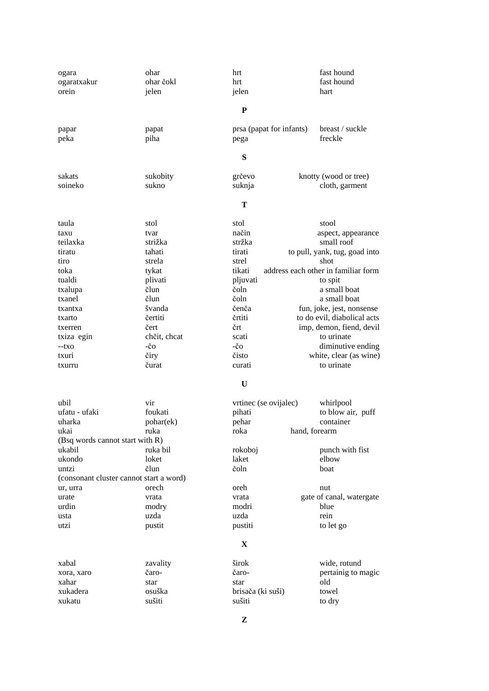| ogara                                   | ohar              | hrt                      | fast hound                          |
|-----------------------------------------|-------------------|--------------------------|-------------------------------------|
| ogaratxakur                             | ohar čokl         | hrt                      | fast hound                          |
| orein                                   | jelen             | jelen                    | hart                                |
|                                         |                   | ${\bf P}$                |                                     |
|                                         |                   |                          |                                     |
| papar                                   | papat             | prsa (papat for infants) | breast / suckle                     |
| peka                                    | piha              | pega                     | freckle                             |
|                                         |                   | S                        |                                     |
|                                         |                   |                          |                                     |
| sakats<br>soineko                       | sukobity<br>sukno | grčevo                   | knotty (wood or tree)               |
|                                         |                   | suknja                   | cloth, garment                      |
|                                         |                   | Т                        |                                     |
| taula                                   | stol              | stol                     | stool                               |
| taxu                                    | tvar              | način                    | aspect, appearance                  |
| teilaxka                                | strižka           | stržka                   | small roof                          |
| tiratu                                  | tahati            | tirati                   | to pull, yank, tug, goad into       |
| tiro                                    | strela            | strel                    | shot                                |
| toka                                    | tykat             | tikati                   | address each other in familiar form |
| tualdi                                  | plivati           | pljuvati                 | to spit                             |
| txalupa                                 | člun              | čoln                     | a small boat                        |
| txanel                                  | člun              | čoln                     | a small boat                        |
| txantxa                                 | švanda            | čenča                    | fun, joke, jest, nonsense           |
| txarto                                  | čertiti           | črtiti                   | to do evil, diabolical acts         |
| txerren                                 | čert              | črt                      | imp, demon, fiend, devil            |
| txiza egin                              | chčit, chcat      | scati                    | to urinate                          |
| --txo                                   | -čo               | $-\check{c}$ O           | diminutive ending                   |
| txuri                                   | čiry              | čisto                    | white, clear (as wine)              |
| txurru                                  | čurat             | curati                   | to urinate                          |
|                                         |                   |                          |                                     |
|                                         |                   | $\mathbf U$              |                                     |
| ubil                                    | vir               | vrtinec (se ovijalec)    | whirlpool                           |
| ufatu - ufaki                           | foukati           | pihati                   | to blow air, puff                   |
| uharka                                  | pohar(ek)         | pehar                    | container                           |
| ukai                                    | ruka              | roka<br>hand, forearm    |                                     |
| (Bsq words cannot start with R)         |                   |                          |                                     |
| ukabil                                  | ruka bil          | rokoboj                  | punch with fist                     |
| ukondo                                  | loket             | laket                    | elbow                               |
| untzi                                   | člun              | čoln                     | boat                                |
| (consonant cluster cannot start a word) |                   |                          |                                     |
| ur, urra                                | orech             | oreh                     | nut                                 |
| urate                                   | vrata             | vrata                    | gate of canal, watergate            |
| urdin                                   | modry             | modri                    | blue                                |
| usta                                    | uzda              | uzda                     | rein                                |
| utzi                                    | pustit            | pustiti                  | to let go                           |
|                                         |                   | X                        |                                     |
| xabal                                   | zavality          | širok                    | wide, rotund                        |
| xora, xaro                              | čaro-             | čaro-                    | pertainig to magic                  |
| xahar                                   |                   |                          | old                                 |
| xukadera                                | star<br>osuška    | star                     | towel                               |
|                                         |                   | brisača (ki suši)        |                                     |
| xukatu                                  | sušiti            | sušiti                   | to dry                              |